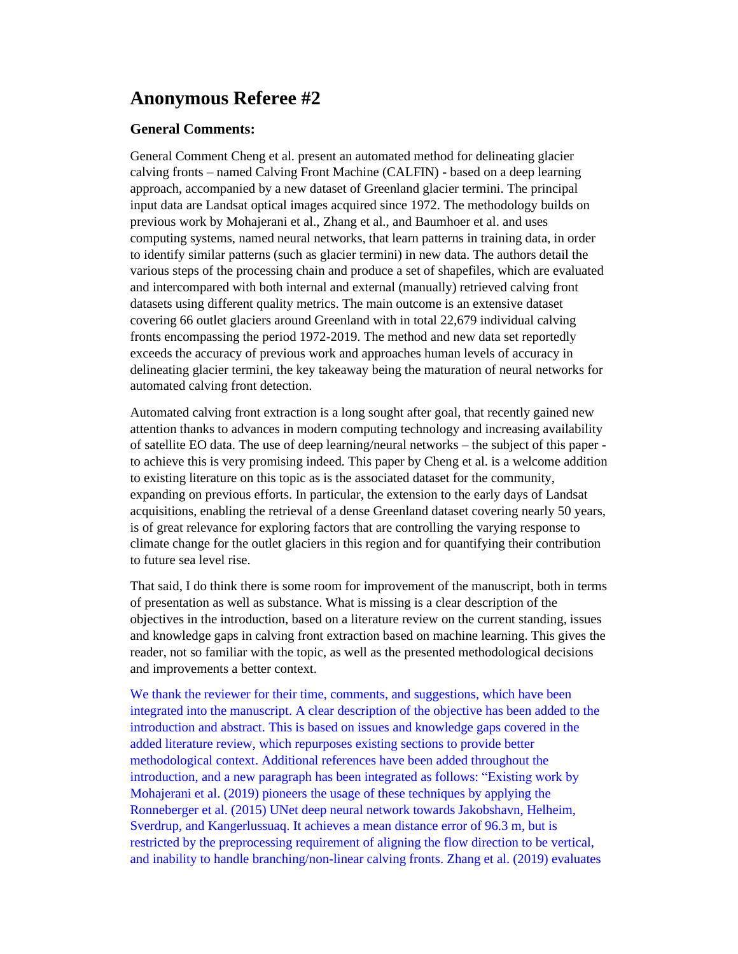## **Anonymous Referee #2**

## **General Comments:**

General Comment Cheng et al. present an automated method for delineating glacier calving fronts – named Calving Front Machine (CALFIN) - based on a deep learning approach, accompanied by a new dataset of Greenland glacier termini. The principal input data are Landsat optical images acquired since 1972. The methodology builds on previous work by Mohajerani et al., Zhang et al., and Baumhoer et al. and uses computing systems, named neural networks, that learn patterns in training data, in order to identify similar patterns (such as glacier termini) in new data. The authors detail the various steps of the processing chain and produce a set of shapefiles, which are evaluated and intercompared with both internal and external (manually) retrieved calving front datasets using different quality metrics. The main outcome is an extensive dataset covering 66 outlet glaciers around Greenland with in total 22,679 individual calving fronts encompassing the period 1972-2019. The method and new data set reportedly exceeds the accuracy of previous work and approaches human levels of accuracy in delineating glacier termini, the key takeaway being the maturation of neural networks for automated calving front detection.

Automated calving front extraction is a long sought after goal, that recently gained new attention thanks to advances in modern computing technology and increasing availability of satellite EO data. The use of deep learning/neural networks – the subject of this paper to achieve this is very promising indeed. This paper by Cheng et al. is a welcome addition to existing literature on this topic as is the associated dataset for the community, expanding on previous efforts. In particular, the extension to the early days of Landsat acquisitions, enabling the retrieval of a dense Greenland dataset covering nearly 50 years, is of great relevance for exploring factors that are controlling the varying response to climate change for the outlet glaciers in this region and for quantifying their contribution to future sea level rise.

That said, I do think there is some room for improvement of the manuscript, both in terms of presentation as well as substance. What is missing is a clear description of the objectives in the introduction, based on a literature review on the current standing, issues and knowledge gaps in calving front extraction based on machine learning. This gives the reader, not so familiar with the topic, as well as the presented methodological decisions and improvements a better context.

We thank the reviewer for their time, comments, and suggestions, which have been integrated into the manuscript. A clear description of the objective has been added to the introduction and abstract. This is based on issues and knowledge gaps covered in the added literature review, which repurposes existing sections to provide better methodological context. Additional references have been added throughout the introduction, and a new paragraph has been integrated as follows: "Existing work by Mohajerani et al. (2019) pioneers the usage of these techniques by applying the Ronneberger et al. (2015) UNet deep neural network towards Jakobshavn, Helheim, Sverdrup, and Kangerlussuaq. It achieves a mean distance error of 96.3 m, but is restricted by the preprocessing requirement of aligning the flow direction to be vertical, and inability to handle branching/non-linear calving fronts. Zhang et al. (2019) evaluates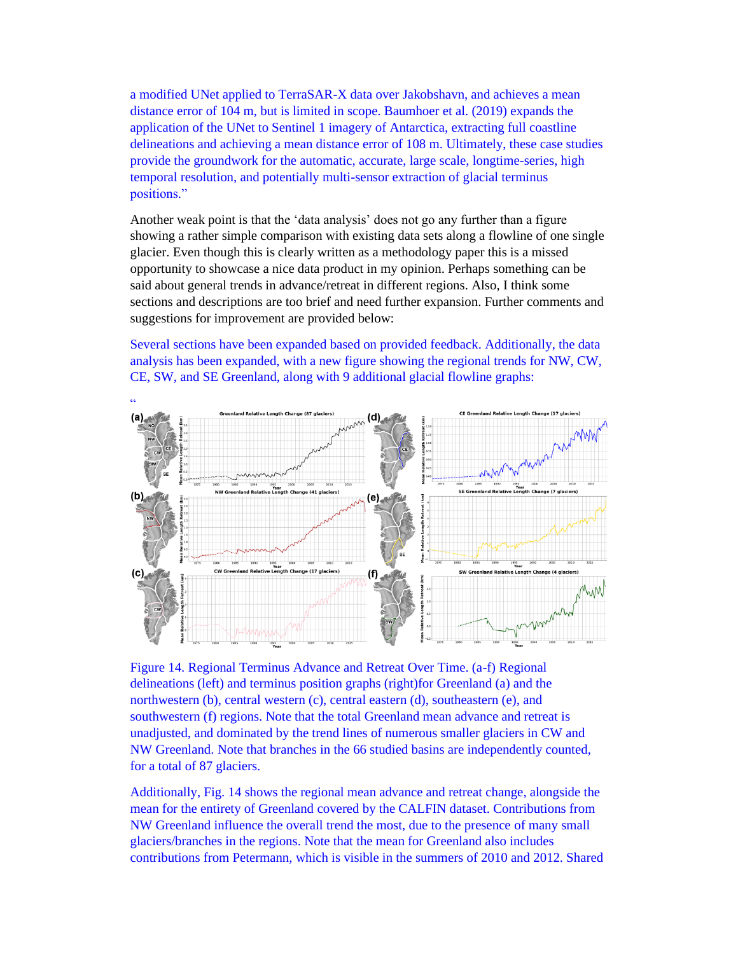a modified UNet applied to TerraSAR-X data over Jakobshavn, and achieves a mean distance error of 104 m, but is limited in scope. Baumhoer et al. (2019) expands the application of the UNet to Sentinel 1 imagery of Antarctica, extracting full coastline delineations and achieving a mean distance error of 108 m. Ultimately, these case studies provide the groundwork for the automatic, accurate, large scale, longtime-series, high temporal resolution, and potentially multi-sensor extraction of glacial terminus positions."

Another weak point is that the 'data analysis' does not go any further than a figure showing a rather simple comparison with existing data sets along a flowline of one single glacier. Even though this is clearly written as a methodology paper this is a missed opportunity to showcase a nice data product in my opinion. Perhaps something can be said about general trends in advance/retreat in different regions. Also, I think some sections and descriptions are too brief and need further expansion. Further comments and suggestions for improvement are provided below:

Several sections have been expanded based on provided feedback. Additionally, the data analysis has been expanded, with a new figure showing the regional trends for NW, CW, CE, SW, and SE Greenland, along with 9 additional glacial flowline graphs:



Figure 14. Regional Terminus Advance and Retreat Over Time. (a-f) Regional delineations (left) and terminus position graphs (right)for Greenland (a) and the northwestern (b), central western (c), central eastern (d), southeastern (e), and southwestern (f) regions. Note that the total Greenland mean advance and retreat is unadjusted, and dominated by the trend lines of numerous smaller glaciers in CW and NW Greenland. Note that branches in the 66 studied basins are independently counted, for a total of 87 glaciers.

Additionally, Fig. 14 shows the regional mean advance and retreat change, alongside the mean for the entirety of Greenland covered by the CALFIN dataset. Contributions from NW Greenland influence the overall trend the most, due to the presence of many small glaciers/branches in the regions. Note that the mean for Greenland also includes contributions from Petermann, which is visible in the summers of 2010 and 2012. Shared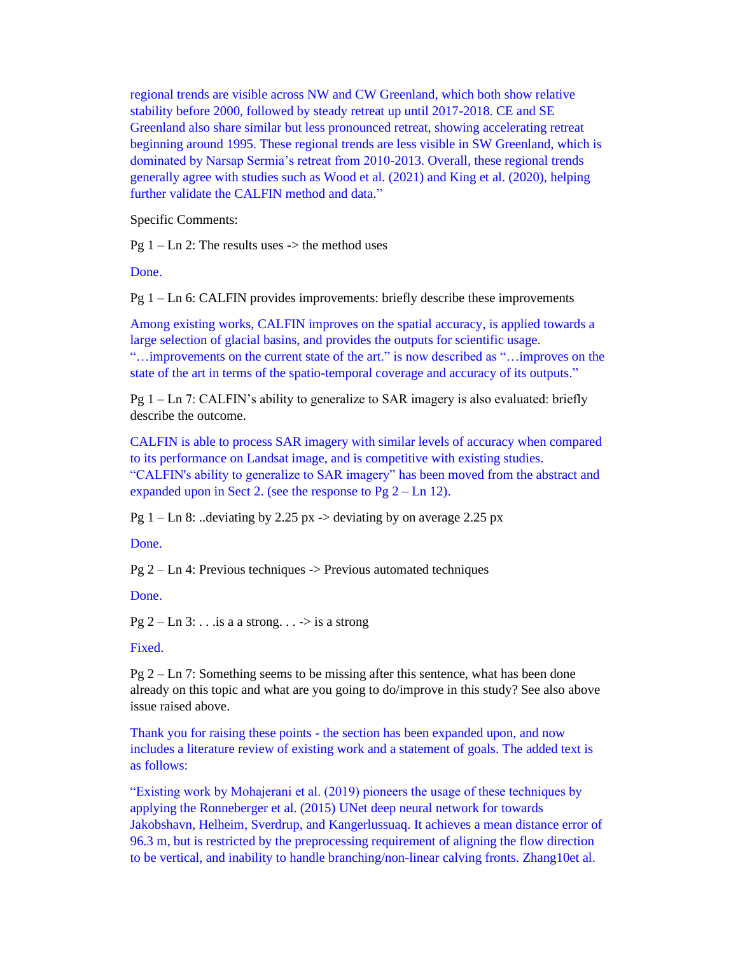regional trends are visible across NW and CW Greenland, which both show relative stability before 2000, followed by steady retreat up until 2017-2018. CE and SE Greenland also share similar but less pronounced retreat, showing accelerating retreat beginning around 1995. These regional trends are less visible in SW Greenland, which is dominated by Narsap Sermia's retreat from 2010-2013. Overall, these regional trends generally agree with studies such as Wood et al. (2021) and King et al. (2020), helping further validate the CALFIN method and data."

Specific Comments:

Pg  $1 - \text{Ln } 2$ : The results uses  $\rightarrow$  the method uses

Done.

Pg 1 – Ln 6: CALFIN provides improvements: briefly describe these improvements

Among existing works, CALFIN improves on the spatial accuracy, is applied towards a large selection of glacial basins, and provides the outputs for scientific usage. "…improvements on the current state of the art." is now described as "…improves on the state of the art in terms of the spatio-temporal coverage and accuracy of its outputs."

Pg  $1 - \text{Ln } 7$ : CALFIN's ability to generalize to SAR imagery is also evaluated: briefly describe the outcome.

CALFIN is able to process SAR imagery with similar levels of accuracy when compared to its performance on Landsat image, and is competitive with existing studies. "CALFIN's ability to generalize to SAR imagery" has been moved from the abstract and expanded upon in Sect 2. (see the response to Pg  $2 - \text{Ln } 12$ ).

Pg  $1 - \text{Ln } 8$ : ..deviating by 2.25 px  $\rightarrow$  deviating by on average 2.25 px

Done.

Pg 2 – Ln 4: Previous techniques -> Previous automated techniques

Done.

Pg 2 – Ln 3:  $\ldots$  is a a strong.  $\ldots$  -> is a strong

Fixed.

Pg 2 – Ln 7: Something seems to be missing after this sentence, what has been done already on this topic and what are you going to do/improve in this study? See also above issue raised above.

Thank you for raising these points - the section has been expanded upon, and now includes a literature review of existing work and a statement of goals. The added text is as follows:

"Existing work by Mohajerani et al. (2019) pioneers the usage of these techniques by applying the Ronneberger et al. (2015) UNet deep neural network for towards Jakobshavn, Helheim, Sverdrup, and Kangerlussuaq. It achieves a mean distance error of 96.3 m, but is restricted by the preprocessing requirement of aligning the flow direction to be vertical, and inability to handle branching/non-linear calving fronts. Zhang10et al.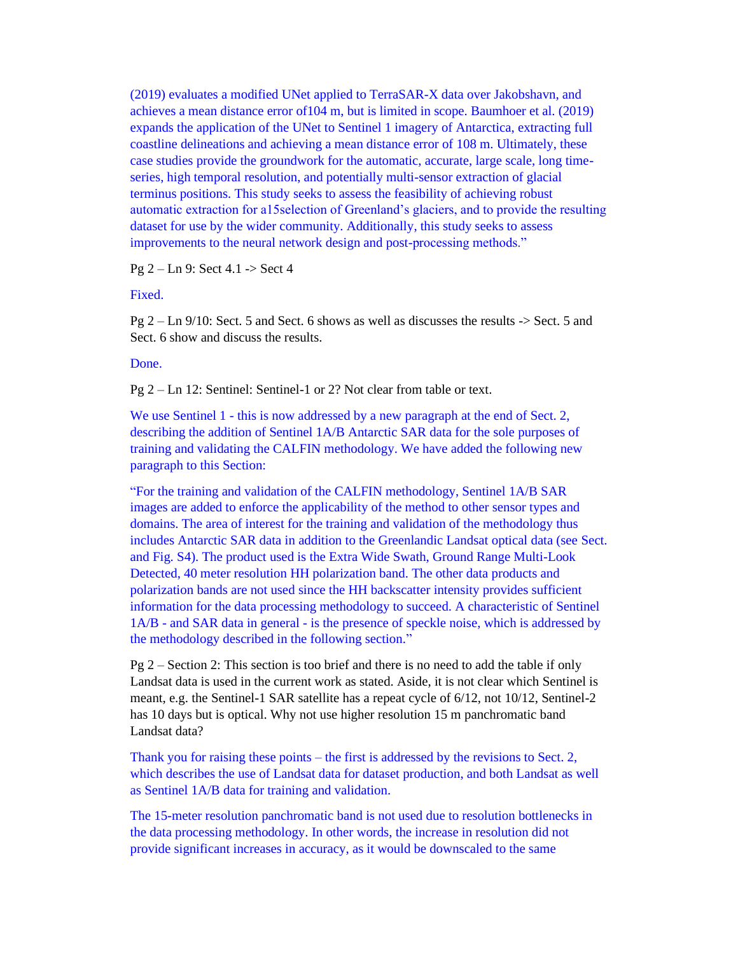(2019) evaluates a modified UNet applied to TerraSAR-X data over Jakobshavn, and achieves a mean distance error of104 m, but is limited in scope. Baumhoer et al. (2019) expands the application of the UNet to Sentinel 1 imagery of Antarctica, extracting full coastline delineations and achieving a mean distance error of 108 m. Ultimately, these case studies provide the groundwork for the automatic, accurate, large scale, long timeseries, high temporal resolution, and potentially multi-sensor extraction of glacial terminus positions. This study seeks to assess the feasibility of achieving robust automatic extraction for a15selection of Greenland's glaciers, and to provide the resulting dataset for use by the wider community. Additionally, this study seeks to assess improvements to the neural network design and post-processing methods."

Pg 2 – Ln 9: Sect 4.1 -> Sect 4

## Fixed.

 $Pg 2 - Ln 9/10$ : Sect. 5 and Sect. 6 shows as well as discusses the results  $\ge$  Sect. 5 and Sect. 6 show and discuss the results.

Done.

Pg 2 – Ln 12: Sentinel: Sentinel-1 or 2? Not clear from table or text.

We use Sentinel 1 - this is now addressed by a new paragraph at the end of Sect. 2, describing the addition of Sentinel 1A/B Antarctic SAR data for the sole purposes of training and validating the CALFIN methodology. We have added the following new paragraph to this Section:

"For the training and validation of the CALFIN methodology, Sentinel 1A/B SAR images are added to enforce the applicability of the method to other sensor types and domains. The area of interest for the training and validation of the methodology thus includes Antarctic SAR data in addition to the Greenlandic Landsat optical data (see Sect. and Fig. S4). The product used is the Extra Wide Swath, Ground Range Multi-Look Detected, 40 meter resolution HH polarization band. The other data products and polarization bands are not used since the HH backscatter intensity provides sufficient information for the data processing methodology to succeed. A characteristic of Sentinel 1A/B - and SAR data in general - is the presence of speckle noise, which is addressed by the methodology described in the following section."

Pg 2 – Section 2: This section is too brief and there is no need to add the table if only Landsat data is used in the current work as stated. Aside, it is not clear which Sentinel is meant, e.g. the Sentinel-1 SAR satellite has a repeat cycle of 6/12, not 10/12, Sentinel-2 has 10 days but is optical. Why not use higher resolution 15 m panchromatic band Landsat data?

Thank you for raising these points – the first is addressed by the revisions to Sect. 2, which describes the use of Landsat data for dataset production, and both Landsat as well as Sentinel 1A/B data for training and validation.

The 15-meter resolution panchromatic band is not used due to resolution bottlenecks in the data processing methodology. In other words, the increase in resolution did not provide significant increases in accuracy, as it would be downscaled to the same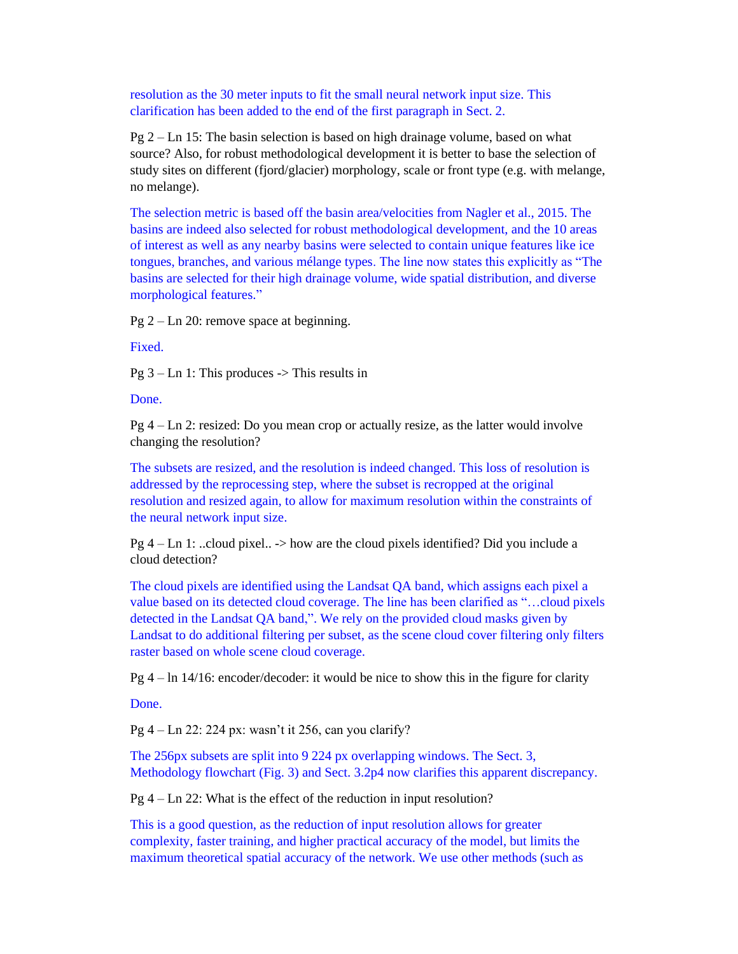resolution as the 30 meter inputs to fit the small neural network input size. This clarification has been added to the end of the first paragraph in Sect. 2.

Pg 2 – Ln 15: The basin selection is based on high drainage volume, based on what source? Also, for robust methodological development it is better to base the selection of study sites on different (fjord/glacier) morphology, scale or front type (e.g. with melange, no melange).

The selection metric is based off the basin area/velocities from Nagler et al., 2015. The basins are indeed also selected for robust methodological development, and the 10 areas of interest as well as any nearby basins were selected to contain unique features like ice tongues, branches, and various mélange types. The line now states this explicitly as "The basins are selected for their high drainage volume, wide spatial distribution, and diverse morphological features."

Pg 2 – Ln 20: remove space at beginning.

Fixed.

 $Pg 3 - Ln 1$ : This produces  $\rightarrow$  This results in

Done.

 $Pg 4$  – Ln 2: resized: Do you mean crop or actually resize, as the latter would involve changing the resolution?

The subsets are resized, and the resolution is indeed changed. This loss of resolution is addressed by the reprocessing step, where the subset is recropped at the original resolution and resized again, to allow for maximum resolution within the constraints of the neural network input size.

 $Pg 4 - Ln 1:$  ...cloud pixel..  $\rightarrow$  how are the cloud pixels identified? Did you include a cloud detection?

The cloud pixels are identified using the Landsat QA band, which assigns each pixel a value based on its detected cloud coverage. The line has been clarified as "…cloud pixels detected in the Landsat QA band,". We rely on the provided cloud masks given by Landsat to do additional filtering per subset, as the scene cloud cover filtering only filters raster based on whole scene cloud coverage.

Pg  $4 - \ln 14/16$ : encoder/decoder: it would be nice to show this in the figure for clarity

Done.

Pg 4 – Ln 22: 224 px: wasn't it 256, can you clarify?

The 256px subsets are split into 9 224 px overlapping windows. The Sect. 3, Methodology flowchart (Fig. 3) and Sect. 3.2p4 now clarifies this apparent discrepancy.

Pg 4 – Ln 22: What is the effect of the reduction in input resolution?

This is a good question, as the reduction of input resolution allows for greater complexity, faster training, and higher practical accuracy of the model, but limits the maximum theoretical spatial accuracy of the network. We use other methods (such as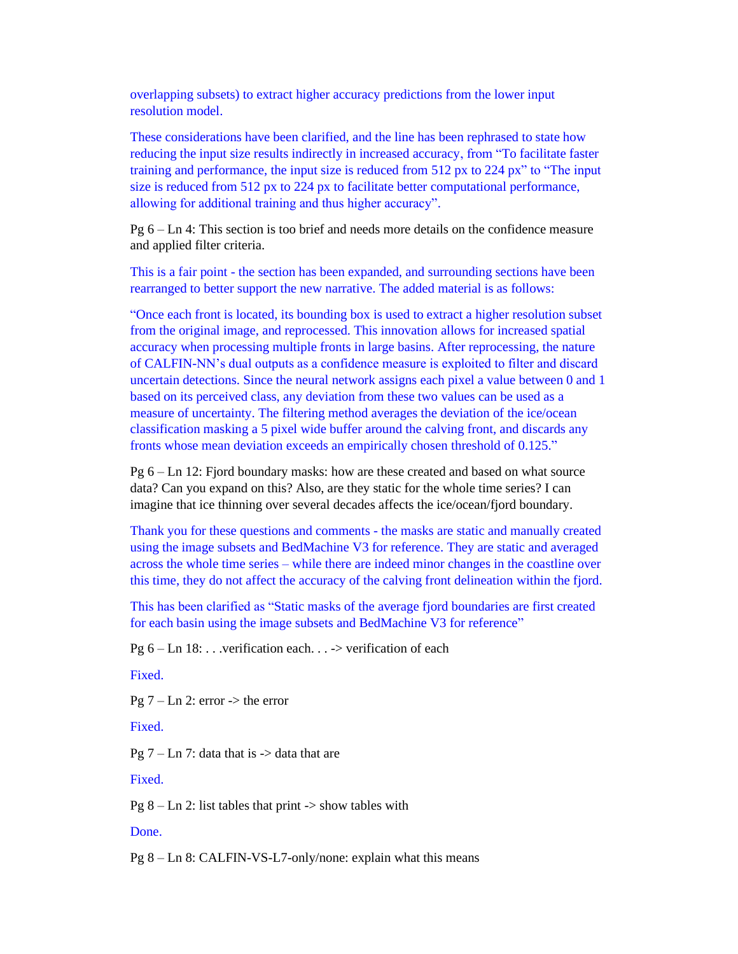overlapping subsets) to extract higher accuracy predictions from the lower input resolution model.

These considerations have been clarified, and the line has been rephrased to state how reducing the input size results indirectly in increased accuracy, from "To facilitate faster training and performance, the input size is reduced from 512 px to 224 px" to "The input size is reduced from 512 px to 224 px to facilitate better computational performance, allowing for additional training and thus higher accuracy".

Pg 6 – Ln 4: This section is too brief and needs more details on the confidence measure and applied filter criteria.

This is a fair point - the section has been expanded, and surrounding sections have been rearranged to better support the new narrative. The added material is as follows:

"Once each front is located, its bounding box is used to extract a higher resolution subset from the original image, and reprocessed. This innovation allows for increased spatial accuracy when processing multiple fronts in large basins. After reprocessing, the nature of CALFIN-NN's dual outputs as a confidence measure is exploited to filter and discard uncertain detections. Since the neural network assigns each pixel a value between 0 and 1 based on its perceived class, any deviation from these two values can be used as a measure of uncertainty. The filtering method averages the deviation of the ice/ocean classification masking a 5 pixel wide buffer around the calving front, and discards any fronts whose mean deviation exceeds an empirically chosen threshold of 0.125."

Pg 6 – Ln 12: Fjord boundary masks: how are these created and based on what source data? Can you expand on this? Also, are they static for the whole time series? I can imagine that ice thinning over several decades affects the ice/ocean/fjord boundary.

Thank you for these questions and comments - the masks are static and manually created using the image subsets and BedMachine V3 for reference. They are static and averaged across the whole time series – while there are indeed minor changes in the coastline over this time, they do not affect the accuracy of the calving front delineation within the fjord.

This has been clarified as "Static masks of the average fjord boundaries are first created for each basin using the image subsets and BedMachine V3 for reference"

Pg  $6 - \text{Ln } 18$ : . . . verification each. . . -> verification of each

Fixed.

Pg  $7 - \text{Ln } 2$ : error  $\rightarrow$  the error

Fixed.

Pg  $7 - \text{Ln } 7$ : data that is  $\rightarrow$  data that are

Fixed.

Pg  $8 - Ln 2$ : list tables that print  $\rightarrow$  show tables with

Done.

Pg 8 – Ln 8: CALFIN-VS-L7-only/none: explain what this means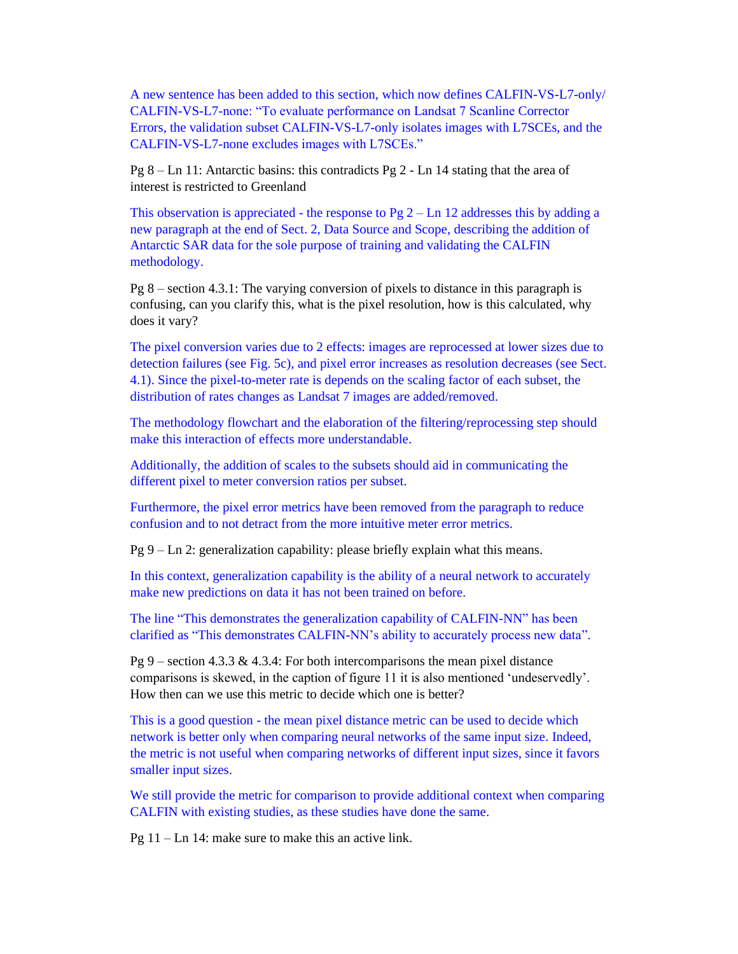A new sentence has been added to this section, which now defines CALFIN-VS-L7-only/ CALFIN-VS-L7-none: "To evaluate performance on Landsat 7 Scanline Corrector Errors, the validation subset CALFIN-VS-L7-only isolates images with L7SCEs, and the CALFIN-VS-L7-none excludes images with L7SCEs."

Pg 8 – Ln 11: Antarctic basins: this contradicts Pg 2 - Ln 14 stating that the area of interest is restricted to Greenland

This observation is appreciated - the response to Pg  $2 - Ln 12$  addresses this by adding a new paragraph at the end of Sect. 2, Data Source and Scope, describing the addition of Antarctic SAR data for the sole purpose of training and validating the CALFIN methodology.

Pg 8 – section 4.3.1: The varying conversion of pixels to distance in this paragraph is confusing, can you clarify this, what is the pixel resolution, how is this calculated, why does it vary?

The pixel conversion varies due to 2 effects: images are reprocessed at lower sizes due to detection failures (see Fig. 5c), and pixel error increases as resolution decreases (see Sect. 4.1). Since the pixel-to-meter rate is depends on the scaling factor of each subset, the distribution of rates changes as Landsat 7 images are added/removed.

The methodology flowchart and the elaboration of the filtering/reprocessing step should make this interaction of effects more understandable.

Additionally, the addition of scales to the subsets should aid in communicating the different pixel to meter conversion ratios per subset.

Furthermore, the pixel error metrics have been removed from the paragraph to reduce confusion and to not detract from the more intuitive meter error metrics.

Pg 9 – Ln 2: generalization capability: please briefly explain what this means.

In this context, generalization capability is the ability of a neural network to accurately make new predictions on data it has not been trained on before.

The line "This demonstrates the generalization capability of CALFIN-NN" has been clarified as "This demonstrates CALFIN-NN's ability to accurately process new data".

Pg 9 – section 4.3.3 & 4.3.4: For both intercomparisons the mean pixel distance comparisons is skewed, in the caption of figure 11 it is also mentioned 'undeservedly'. How then can we use this metric to decide which one is better?

This is a good question - the mean pixel distance metric can be used to decide which network is better only when comparing neural networks of the same input size. Indeed, the metric is not useful when comparing networks of different input sizes, since it favors smaller input sizes.

We still provide the metric for comparison to provide additional context when comparing CALFIN with existing studies, as these studies have done the same.

 $Pg 11 - Ln 14$ : make sure to make this an active link.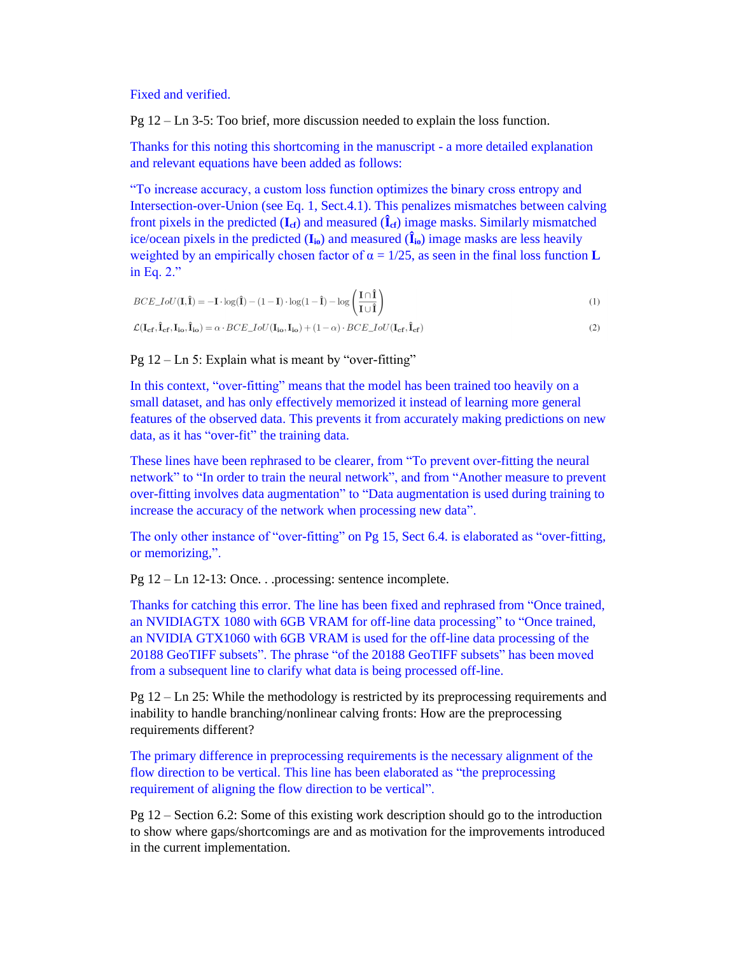Fixed and verified.

Pg 12 – Ln 3-5: Too brief, more discussion needed to explain the loss function.

Thanks for this noting this shortcoming in the manuscript - a more detailed explanation and relevant equations have been added as follows:

"To increase accuracy, a custom loss function optimizes the binary cross entropy and Intersection-over-Union (see Eq. 1, Sect.4.1). This penalizes mismatches between calving front pixels in the predicted  $(I_{cf})$  and measured  $(I_{cf})$  image masks. Similarly mismatched ice/ocean pixels in the predicted  $(I_{i_0})$  and measured  $(\hat{I}_{i_0})$  image masks are less heavily weighted by an empirically chosen factor of  $\alpha = 1/25$ , as seen in the final loss function **L** in Eq. 2."

$$
BCE\_IoU(\mathbf{I}, \hat{\mathbf{I}}) = -\mathbf{I} \cdot \log(\hat{\mathbf{I}}) - (1 - \mathbf{I}) \cdot \log(1 - \hat{\mathbf{I}}) - \log\left(\frac{\mathbf{I} \cap \hat{\mathbf{I}}}{\mathbf{I} \cup \hat{\mathbf{I}}}\right)
$$
  
\n
$$
\mathcal{L}(\mathbf{I}_{cf}, \hat{\mathbf{I}}_{cf}, \mathbf{I}_{io}, \hat{\mathbf{I}}_{io}) = \alpha \cdot BCE\_IoU(\mathbf{I}_{io}, \mathbf{I}_{io}) + (1 - \alpha) \cdot BCE\_IoU(\mathbf{I}_{cf}, \hat{\mathbf{I}}_{cf})
$$
\n(2)

Pg  $12 - \text{Ln } 5$ : Explain what is meant by "over-fitting"

In this context, "over-fitting" means that the model has been trained too heavily on a small dataset, and has only effectively memorized it instead of learning more general features of the observed data. This prevents it from accurately making predictions on new data, as it has "over-fit" the training data.

These lines have been rephrased to be clearer, from "To prevent over-fitting the neural network" to "In order to train the neural network", and from "Another measure to prevent over-fitting involves data augmentation" to "Data augmentation is used during training to increase the accuracy of the network when processing new data".

The only other instance of "over-fitting" on Pg 15, Sect 6.4. is elaborated as "over-fitting, or memorizing,".

Pg 12 – Ln 12-13: Once. . .processing: sentence incomplete.

Thanks for catching this error. The line has been fixed and rephrased from "Once trained, an NVIDIAGTX 1080 with 6GB VRAM for off-line data processing" to "Once trained, an NVIDIA GTX1060 with 6GB VRAM is used for the off-line data processing of the 20188 GeoTIFF subsets". The phrase "of the 20188 GeoTIFF subsets" has been moved from a subsequent line to clarify what data is being processed off-line.

Pg 12 – Ln 25: While the methodology is restricted by its preprocessing requirements and inability to handle branching/nonlinear calving fronts: How are the preprocessing requirements different?

The primary difference in preprocessing requirements is the necessary alignment of the flow direction to be vertical. This line has been elaborated as "the preprocessing requirement of aligning the flow direction to be vertical".

Pg 12 – Section 6.2: Some of this existing work description should go to the introduction to show where gaps/shortcomings are and as motivation for the improvements introduced in the current implementation.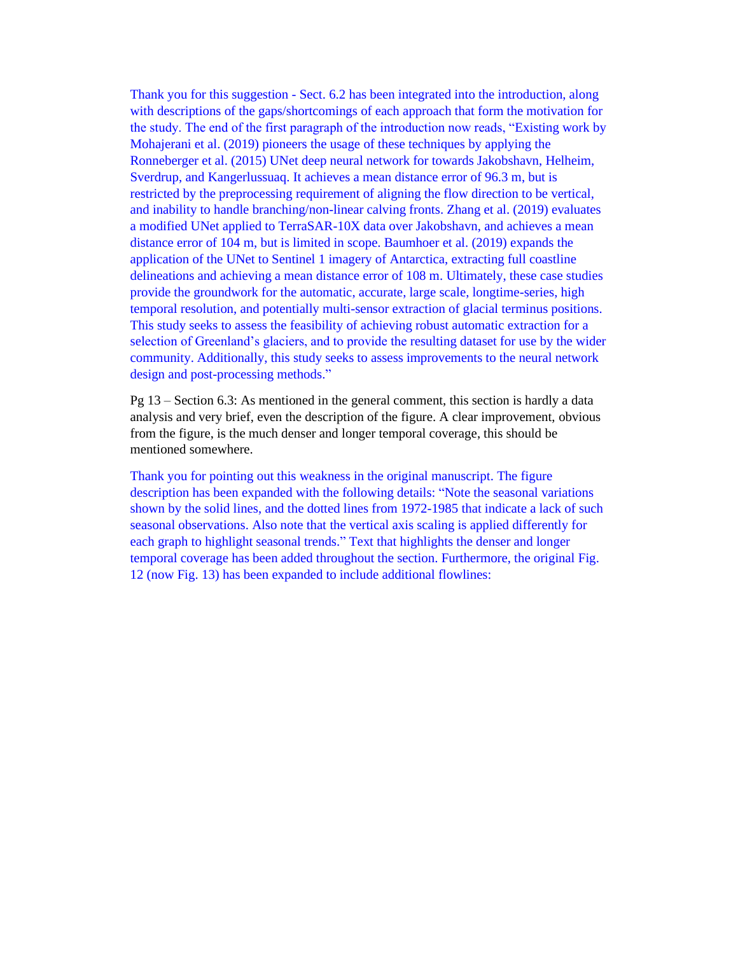Thank you for this suggestion - Sect. 6.2 has been integrated into the introduction, along with descriptions of the gaps/shortcomings of each approach that form the motivation for the study. The end of the first paragraph of the introduction now reads, "Existing work by Mohajerani et al. (2019) pioneers the usage of these techniques by applying the Ronneberger et al. (2015) UNet deep neural network for towards Jakobshavn, Helheim, Sverdrup, and Kangerlussuaq. It achieves a mean distance error of 96.3 m, but is restricted by the preprocessing requirement of aligning the flow direction to be vertical, and inability to handle branching/non-linear calving fronts. Zhang et al. (2019) evaluates a modified UNet applied to TerraSAR-10X data over Jakobshavn, and achieves a mean distance error of 104 m, but is limited in scope. Baumhoer et al. (2019) expands the application of the UNet to Sentinel 1 imagery of Antarctica, extracting full coastline delineations and achieving a mean distance error of 108 m. Ultimately, these case studies provide the groundwork for the automatic, accurate, large scale, longtime-series, high temporal resolution, and potentially multi-sensor extraction of glacial terminus positions. This study seeks to assess the feasibility of achieving robust automatic extraction for a selection of Greenland's glaciers, and to provide the resulting dataset for use by the wider community. Additionally, this study seeks to assess improvements to the neural network design and post-processing methods."

Pg 13 – Section 6.3: As mentioned in the general comment, this section is hardly a data analysis and very brief, even the description of the figure. A clear improvement, obvious from the figure, is the much denser and longer temporal coverage, this should be mentioned somewhere.

Thank you for pointing out this weakness in the original manuscript. The figure description has been expanded with the following details: "Note the seasonal variations shown by the solid lines, and the dotted lines from 1972-1985 that indicate a lack of such seasonal observations. Also note that the vertical axis scaling is applied differently for each graph to highlight seasonal trends." Text that highlights the denser and longer temporal coverage has been added throughout the section. Furthermore, the original Fig. 12 (now Fig. 13) has been expanded to include additional flowlines: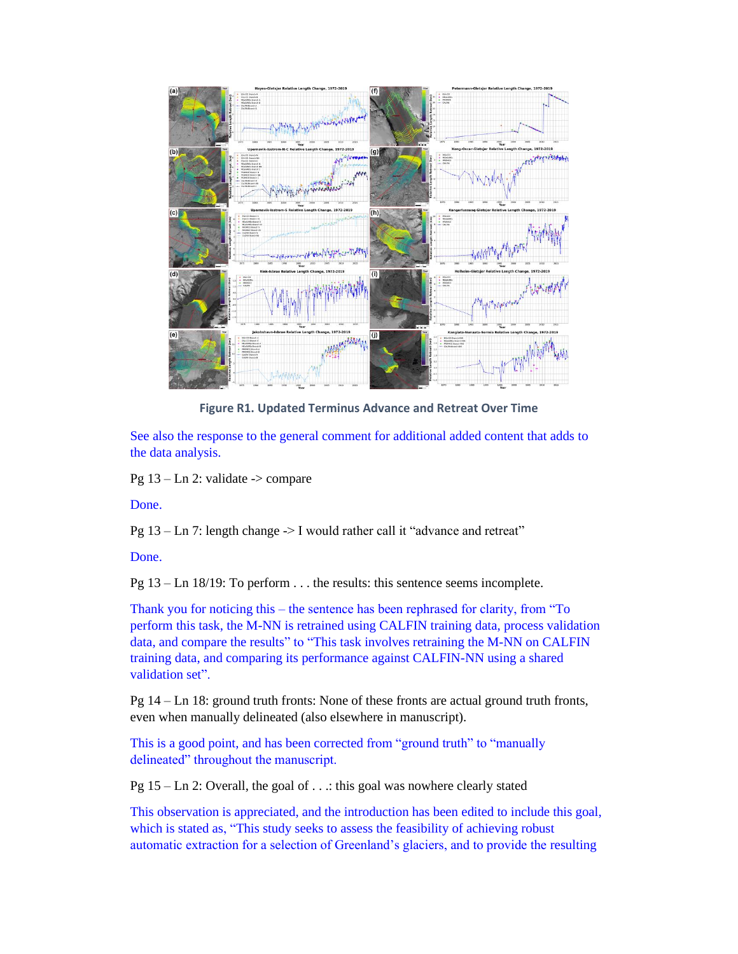

**Figure R1. Updated Terminus Advance and Retreat Over Time**

See also the response to the general comment for additional added content that adds to the data analysis.

Pg  $13 - Ln 2$ : validate  $\rightarrow$  compare

Done.

Pg 13 – Ln 7: length change -> I would rather call it "advance and retreat"

Done.

Pg 13 – Ln 18/19: To perform . . . the results: this sentence seems incomplete.

Thank you for noticing this – the sentence has been rephrased for clarity, from "To perform this task, the M-NN is retrained using CALFIN training data, process validation data, and compare the results" to "This task involves retraining the M-NN on CALFIN training data, and comparing its performance against CALFIN-NN using a shared validation set".

Pg 14 – Ln 18: ground truth fronts: None of these fronts are actual ground truth fronts, even when manually delineated (also elsewhere in manuscript).

This is a good point, and has been corrected from "ground truth" to "manually delineated" throughout the manuscript.

Pg 15 – Ln 2: Overall, the goal of . . .: this goal was nowhere clearly stated

This observation is appreciated, and the introduction has been edited to include this goal, which is stated as, "This study seeks to assess the feasibility of achieving robust automatic extraction for a selection of Greenland's glaciers, and to provide the resulting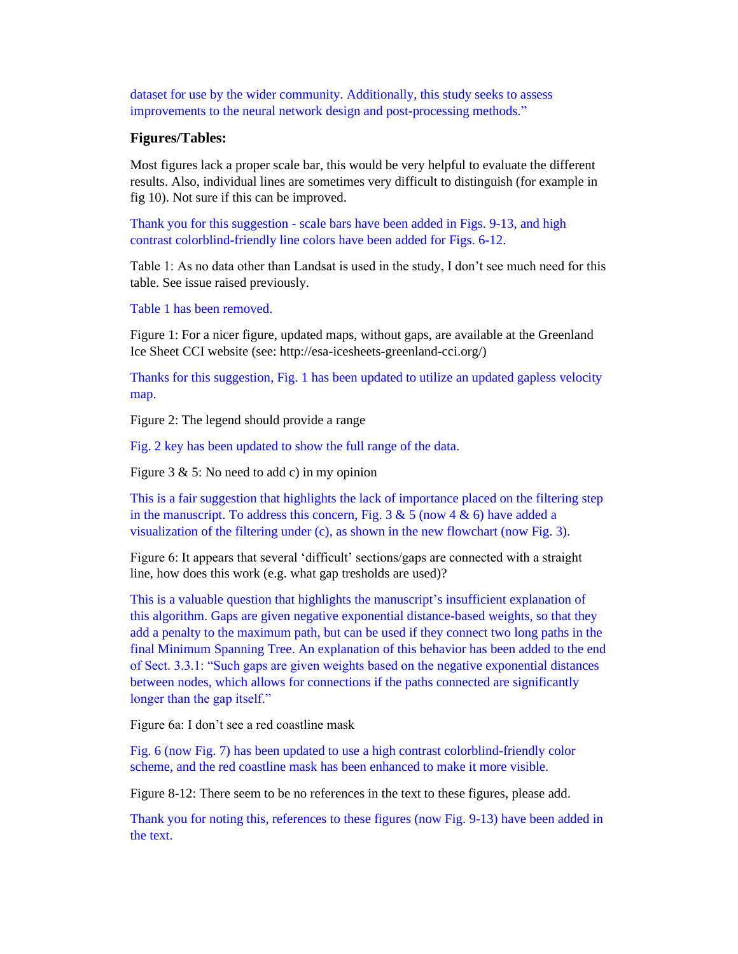dataset for use by the wider community. Additionally, this study seeks to assess improvements to the neural network design and post-processing methods."

## **Figures/Tables:**

Most figures lack a proper scale bar, this would be very helpful to evaluate the different results. Also, individual lines are sometimes very difficult to distinguish (for example in fig 10). Not sure if this can be improved.

Thank you for this suggestion - scale bars have been added in Figs. 9-13, and high contrast colorblind-friendly line colors have been added for Figs. 6-12.

Table 1: As no data other than Landsat is used in the study, I don't see much need for this table. See issue raised previously.

Table 1 has been removed.

Figure 1: For a nicer figure, updated maps, without gaps, are available at the Greenland Ice Sheet CCI website (see: http://esa-icesheets-greenland-cci.org/)

Thanks for this suggestion, Fig. 1 has been updated to utilize an updated gapless velocity map.

Figure 2: The legend should provide a range

Fig. 2 key has been updated to show the full range of the data.

Figure 3 & 5: No need to add c) in my opinion

This is a fair suggestion that highlights the lack of importance placed on the filtering step in the manuscript. To address this concern, Fig. 3  $\&$  5 (now 4  $\&$  6) have added a visualization of the filtering under (c), as shown in the new flowchart (now Fig. 3).

Figure 6: It appears that several 'difficult' sections/gaps are connected with a straight line, how does this work (e.g. what gap tresholds are used)?

This is a valuable question that highlights the manuscript's insufficient explanation of this algorithm. Gaps are given negative exponential distance-based weights, so that they add a penalty to the maximum path, but can be used if they connect two long paths in the final Minimum Spanning Tree. An explanation of this behavior has been added to the end of Sect. 3.3.1: "Such gaps are given weights based on the negative exponential distances between nodes, which allows for connections if the paths connected are significantly longer than the gap itself."

Figure 6a: I don't see a red coastline mask

Fig. 6 (now Fig. 7) has been updated to use a high contrast colorblind-friendly color scheme, and the red coastline mask has been enhanced to make it more visible.

Figure 8-12: There seem to be no references in the text to these figures, please add.

Thank you for noting this, references to these figures (now Fig. 9-13) have been added in the text.